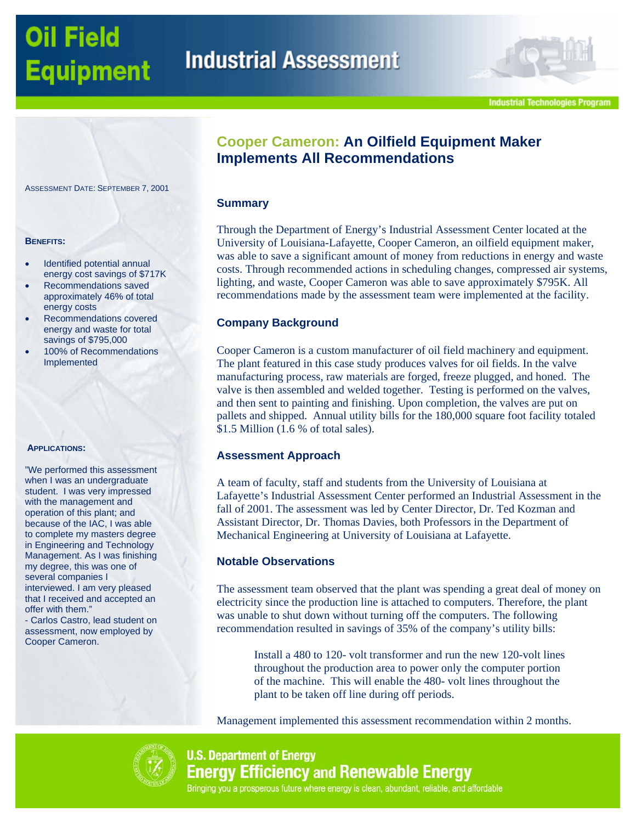# **Oil Field Equipment**

# **Cooper Cameron: An Oilfield Equipment Maker Implements All Recommendations**

## **Summary**

Through the Department of Energy's Industrial Assessment Center located at the University of Louisiana-Lafayette, Cooper Cameron, an oilfield equipment maker, was able to save a significant amount of money from reductions in energy and waste costs. Through recommended actions in scheduling changes, compressed air systems, lighting, and waste, Cooper Cameron was able to save approximately \$795K. All recommendations made by the assessment team were implemented at the facility.

# **Company Background**

Cooper Cameron is a custom manufacturer of oil field machinery and equipment. The plant featured in this case study produces valves for oil fields. In the valve manufacturing process, raw materials are forged, freeze plugged, and honed. The valve is then assembled and welded together. Testing is performed on the valves, and then sent to painting and finishing. Upon completion, the valves are put on pallets and shipped. Annual utility bills for the 180,000 square foot facility totaled \$1.5 Million (1.6 % of total sales).

# **Assessment Approach**

A team of faculty, staff and students from the University of Louisiana at Lafayette's Industrial Assessment Center performed an Industrial Assessment in the fall of 2001. The assessment was led by Center Director, Dr. Ted Kozman and Assistant Director, Dr. Thomas Davies, both Professors in the Department of Mechanical Engineering at University of Louisiana at Lafayette.

## **Notable Observations**

The assessment team observed that the plant was spending a great deal of money on electricity since the production line is attached to computers. Therefore, the plant was unable to shut down without turning off the computers. The following recommendation resulted in savings of 35% of the company's utility bills:

Install a 480 to 120- volt transformer and run the new 120-volt lines throughout the production area to power only the computer portion of the machine. This will enable the 480- volt lines throughout the plant to be taken off line during off periods.

Management implemented this assessment recommendation within 2 months.



# **U.S. Department of Energy Energy Efficiency and Renewable Energy** Bringing you a prosperous future where energy is clean, abundant, reliable, and affordable

ASSESSMENT DATE: SEPTEMBER 7, 2001

#### **BENEFITS:**

- Identified potential annual energy cost savings of \$717K
- Recommendations saved approximately 46% of total energy costs
- Recommendations covered energy and waste for total savings of \$795,000
- 100% of Recommendations Implemented

#### **APPLICATIONS:**

"We performed this assessment when I was an undergraduate student. I was very impressed with the management and operation of this plant; and because of the IAC, I was able to complete my masters degree in Engineering and Technology Management. As I was finishing my degree, this was one of several companies I interviewed. I am very pleased that I received and accepted an offer with them."

- Carlos Castro, lead student on assessment, now employed by Cooper Cameron.